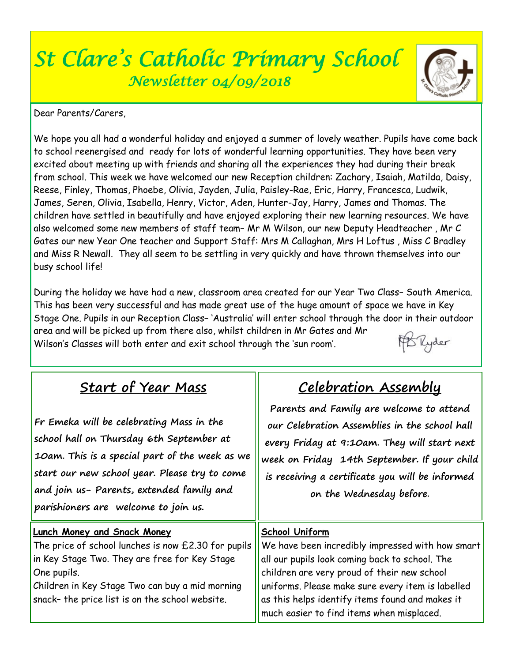# *St Clare's Catholic Primary School Newsletter 04/09/2018*



Dear Parents/Carers,

We hope you all had a wonderful holiday and enjoyed a summer of lovely weather. Pupils have come back to school reenergised and ready for lots of wonderful learning opportunities. They have been very excited about meeting up with friends and sharing all the experiences they had during their break from school. This week we have welcomed our new Reception children: Zachary, Isaiah, Matilda, Daisy, Reese, Finley, Thomas, Phoebe, Olivia, Jayden, Julia, Paisley-Rae, Eric, Harry, Francesca, Ludwik, James, Seren, Olivia, Isabella, Henry, Victor, Aden, Hunter-Jay, Harry, James and Thomas. The children have settled in beautifully and have enjoyed exploring their new learning resources. We have also welcomed some new members of staff team– Mr M Wilson, our new Deputy Headteacher , Mr C Gates our new Year One teacher and Support Staff: Mrs M Callaghan, Mrs H Loftus , Miss C Bradley and Miss R Newall. They all seem to be settling in very quickly and have thrown themselves into our busy school life!

During the holiday we have had a new, classroom area created for our Year Two Class– South America. This has been very successful and has made great use of the huge amount of space we have in Key Stage One. Pupils in our Reception Class– 'Australia' will enter school through the door in their outdoor area and will be picked up from there also, whilst children in Mr Gates and Mr

|                                                                          | the contract of the contract of the contract of the contract of the contract of the contract of the contract of |  |  |
|--------------------------------------------------------------------------|-----------------------------------------------------------------------------------------------------------------|--|--|
| Wilson's Classes will both enter and exit school through the 'sun room'. |                                                                                                                 |  |  |

| <b>Start of Year Mass</b>                                                                                                                                                                                                                                                    | <u>Celebration Assembly</u>                                                                                                                                                                                                                                                                                              |  |  |
|------------------------------------------------------------------------------------------------------------------------------------------------------------------------------------------------------------------------------------------------------------------------------|--------------------------------------------------------------------------------------------------------------------------------------------------------------------------------------------------------------------------------------------------------------------------------------------------------------------------|--|--|
| Fr Emeka will be celebrating Mass in the<br>school hall on Thursday 6th September at<br>10am. This is a special part of the week as we<br>start our new school year. Please try to come<br>and join us- Parents, extended family and<br>parishioners are welcome to join us. | Parents and Family are welcome to attend<br>our Celebration Assemblies in the school hall<br>every Friday at 9:10am. They will start next<br>week on Friday 14th September. If your child<br>is receiving a certificate you will be informed<br>on the Wednesday before.                                                 |  |  |
| <b>Lunch Money and Snack Money</b><br>The price of school lunches is now £2.30 for pupils<br>in Key Stage Two. They are free for Key Stage<br>One pupils.<br>Children in Key Stage Two can buy a mid morning<br>snack- the price list is on the school website.              | School Uniform<br>We have been incredibly impressed with how smart<br>all our pupils look coming back to school. The<br>children are very proud of their new school<br>uniforms. Please make sure every item is labelled<br>as this helps identify items found and makes it<br>much easier to find items when misplaced. |  |  |